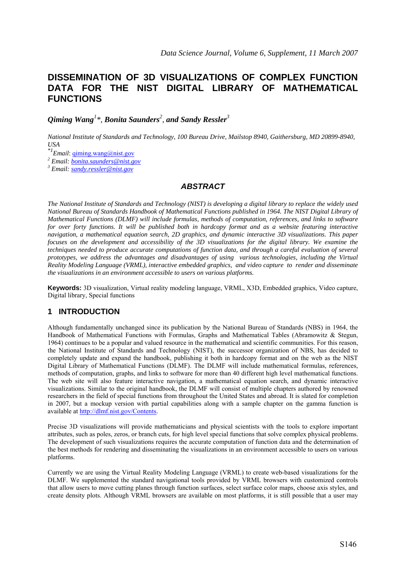# **DISSEMINATION OF 3D VISUALIZATIONS OF COMPLEX FUNCTION DATA FOR THE NIST DIGITAL LIBRARY OF MATHEMATICAL FUNCTIONS**

*Qiming Wang<sup>1</sup> \*, Bonita Saunders<sup>2</sup> , and Sandy Ressler<sup>3</sup>* 

 *National Institute of Standards and Technology, 100 Bureau Drive, Mailstop 8940, Gaithersburg, MD 20899-8940, USA* 

*\*1Email*: qiming.wang@nist.gov

*2 Email: bonita.saunders@nist.gov <sup>3</sup>*

 *Email: sandy.ressler@nist.gov*

#### *ABSTRACT*

*The National Institute of Standards and Technology (NIST) is developing a digital library to replace the widely used National Bureau of Standards Handbook of Mathematical Functions published in 1964. The NIST Digital Library of Mathematical Functions (DLMF) will include formulas, methods of computation, references, and links to software*  for over forty functions. It will be published both in hardcopy format and as a website featuring interactive *navigation, a mathematical equation search, 2D graphics, and dynamic interactive 3D visualizations. This paper focuses on the development and accessibility of the 3D visualizations for the digital library. We examine the techniques needed to produce accurate computations of function data, and through a careful evaluation of several prototypes, we address the advantages and disadvantages of using various technologies, including the Virtual Reality Modeling Language (VRML), interactive embedded graphics, and video capture to render and disseminate the visualizations in an environment accessible to users on various platforms.* 

**Keywords:** 3D visualization, Virtual reality modeling language, VRML, X3D, Embedded graphics, Video capture, Digital library, Special functions

## **1 INTRODUCTION**

Although fundamentally unchanged since its publication by the National Bureau of Standards (NBS) in 1964, the Handbook of Mathematical Functions with Formulas, Graphs and Mathematical Tables (Abramowitz & Stegun, 1964) continues to be a popular and valued resource in the mathematical and scientific communities. For this reason, the National Institute of Standards and Technology (NIST), the successor organization of NBS, has decided to completely update and expand the handbook, publishing it both in hardcopy format and on the web as the NIST Digital Library of Mathematical Functions (DLMF). The DLMF will include mathematical formulas, references, methods of computation, graphs, and links to software for more than 40 different high level mathematical functions. The web site will also feature interactive navigation, a mathematical equation search, and dynamic interactive visualizations. Similar to the original handbook, the DLMF will consist of multiple chapters authored by renowned researchers in the field of special functions from throughout the United States and abroad. It is slated for completion in 2007, but a mockup version with partial capabilities along with a sample chapter on the gamma function is available at http://dlmf.nist.gov/Contents.

Precise 3D visualizations will provide mathematicians and physical scientists with the tools to explore important attributes, such as poles, zeros, or branch cuts, for high level special functions that solve complex physical problems. The development of such visualizations requires the accurate computation of function data and the determination of the best methods for rendering and disseminating the visualizations in an environment accessible to users on various platforms.

Currently we are using the Virtual Reality Modeling Language (VRML) to create web-based visualizations for the DLMF. We supplemented the standard navigational tools provided by VRML browsers with customized controls that allow users to move cutting planes through function surfaces, select surface color maps, choose axis styles, and create density plots. Although VRML browsers are available on most platforms, it is still possible that a user may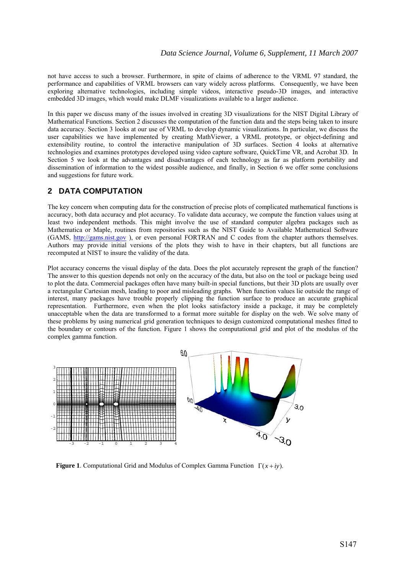not have access to such a browser. Furthermore, in spite of claims of adherence to the VRML 97 standard, the performance and capabilities of VRML browsers can vary widely across platforms. Consequently, we have been exploring alternative technologies, including simple videos, interactive pseudo-3D images, and interactive embedded 3D images, which would make DLMF visualizations available to a larger audience.

In this paper we discuss many of the issues involved in creating 3D visualizations for the NIST Digital Library of Mathematical Functions. Section 2 discusses the computation of the function data and the steps being taken to insure data accuracy. Section 3 looks at our use of VRML to develop dynamic visualizations. In particular, we discuss the user capabilities we have implemented by creating MathViewer, a VRML prototype, or object-defining and extensibility routine, to control the interactive manipulation of 3D surfaces. Section 4 looks at alternative technologies and examines prototypes developed using video capture software, QuickTime VR, and Acrobat 3D. In Section 5 we look at the advantages and disadvantages of each technology as far as platform portability and dissemination of information to the widest possible audience, and finally, in Section 6 we offer some conclusions and suggestions for future work.

## **2 DATA COMPUTATION**

The key concern when computing data for the construction of precise plots of complicated mathematical functions is accuracy, both data accuracy and plot accuracy. To validate data accuracy, we compute the function values using at least two independent methods. This might involve the use of standard computer algebra packages such as Mathematica or Maple, routines from repositories such as the NIST Guide to Available Mathematical Software (GAMS, http://gams.nist.gov ), or even personal FORTRAN and C codes from the chapter authors themselves. Authors may provide initial versions of the plots they wish to have in their chapters, but all functions are recomputed at NIST to insure the validity of the data.

Plot accuracy concerns the visual display of the data. Does the plot accurately represent the graph of the function? The answer to this question depends not only on the accuracy of the data, but also on the tool or package being used to plot the data. Commercial packages often have many built-in special functions, but their 3D plots are usually over a rectangular Cartesian mesh, leading to poor and misleading graphs. When function values lie outside the range of interest, many packages have trouble properly clipping the function surface to produce an accurate graphical representation. Furthermore, even when the plot looks satisfactory inside a package, it may be completely unacceptable when the data are transformed to a format more suitable for display on the web. We solve many of these problems by using numerical grid generation techniques to design customized computational meshes fitted to the boundary or contours of the function. Figure 1 shows the computational grid and plot of the modulus of the complex gamma function.



**Figure 1**. Computational Grid and Modulus of Complex Gamma Function Γ(*x* + *iy*).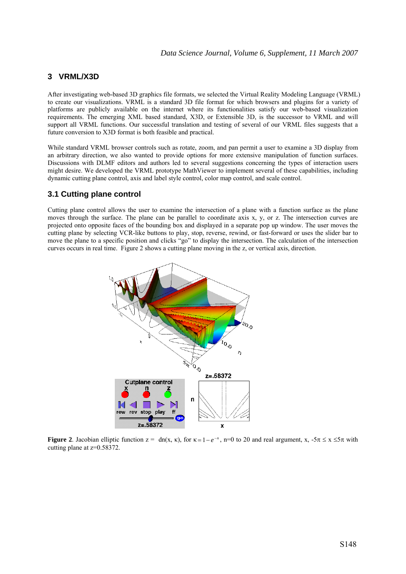## **3 VRML/X3D**

After investigating web-based 3D graphics file formats, we selected the Virtual Reality Modeling Language (VRML) to create our visualizations. VRML is a standard 3D file format for which browsers and plugins for a variety of platforms are publicly available on the internet where its functionalities satisfy our web-based visualization requirements. The emerging XML based standard, X3D, or Extensible 3D, is the successor to VRML and will support all VRML functions. Our successful translation and testing of several of our VRML files suggests that a future conversion to X3D format is both feasible and practical.

While standard VRML browser controls such as rotate, zoom, and pan permit a user to examine a 3D display from an arbitrary direction, we also wanted to provide options for more extensive manipulation of function surfaces. Discussions with DLMF editors and authors led to several suggestions concerning the types of interaction users might desire. We developed the VRML prototype MathViewer to implement several of these capabilities, including dynamic cutting plane control, axis and label style control, color map control, and scale control.

## **3.1 Cutting plane control**

Cutting plane control allows the user to examine the intersection of a plane with a function surface as the plane moves through the surface. The plane can be parallel to coordinate axis x, y, or z. The intersection curves are projected onto opposite faces of the bounding box and displayed in a separate pop up window. The user moves the cutting plane by selecting VCR-like buttons to play, stop, reverse, rewind, or fast-forward or uses the slider bar to move the plane to a specific position and clicks "go" to display the intersection. The calculation of the intersection curves occurs in real time. Figure 2 shows a cutting plane moving in the z, or vertical axis, direction.



**Figure 2.** Jacobian elliptic function  $z = dn(x, \kappa)$ , for  $\kappa = 1 - e^{-n}$ , n=0 to 20 and real argument, x,  $-5\pi \le x \le 5\pi$  with cutting plane at z=0.58372.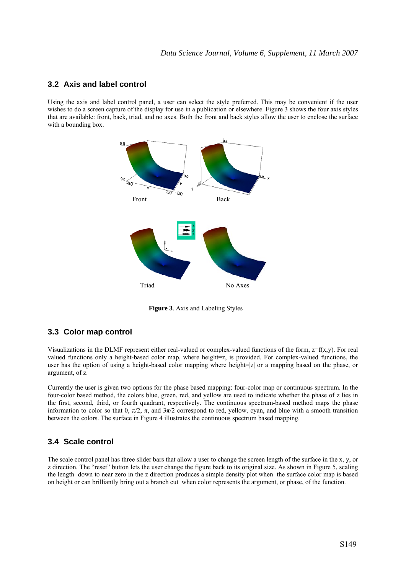#### **3.2 Axis and label control**

Using the axis and label control panel, a user can select the style preferred. This may be convenient if the user wishes to do a screen capture of the display for use in a publication or elsewhere. Figure 3 shows the four axis styles that are available: front, back, triad, and no axes. Both the front and back styles allow the user to enclose the surface with a bounding box.



**Figure 3**. Axis and Labeling Styles

## **3.3 Color map control**

Visualizations in the DLMF represent either real-valued or complex-valued functions of the form,  $z=f(x,y)$ . For real valued functions only a height-based color map, where height=z, is provided. For complex-valued functions, the user has the option of using a height-based color mapping where height=|z| or a mapping based on the phase, or argument, of z.

Currently the user is given two options for the phase based mapping: four-color map or continuous spectrum. In the four-color based method, the colors blue, green, red, and yellow are used to indicate whether the phase of z lies in the first, second, third, or fourth quadrant, respectively. The continuous spectrum-based method maps the phase information to color so that 0,  $\pi/2$ ,  $\pi$ , and  $3\pi/2$  correspond to red, yellow, cyan, and blue with a smooth transition between the colors. The surface in Figure 4 illustrates the continuous spectrum based mapping.

## **3.4 Scale control**

The scale control panel has three slider bars that allow a user to change the screen length of the surface in the x, y, or z direction. The "reset" button lets the user change the figure back to its original size. As shown in Figure 5, scaling the length down to near zero in the z direction produces a simple density plot when the surface color map is based on height or can brilliantly bring out a branch cut when color represents the argument, or phase, of the function.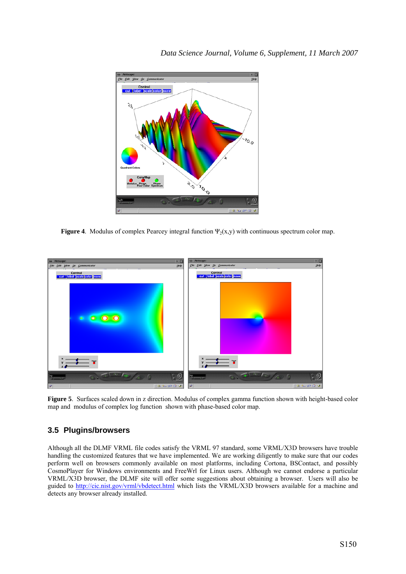

**Figure 4.** Modulus of complex Pearcey integral function  $\Psi_2(x,y)$  with continuous spectrum color map.



**Figure 5**. Surfaces scaled down in z direction. Modulus of complex gamma function shown with height-based color map and modulus of complex log function shown with phase-based color map.

## **3.5 Plugins/browsers**

Although all the DLMF VRML file codes satisfy the VRML 97 standard, some VRML/X3D browsers have trouble handling the customized features that we have implemented. We are working diligently to make sure that our codes perform well on browsers commonly available on most platforms, including Cortona, BSContact, and possibly CosmoPlayer for Windows environments and FreeWrl for Linux users. Although we cannot endorse a particular VRML/X3D browser, the DLMF site will offer some suggestions about obtaining a browser. Users will also be guided to http://cic.nist.gov/vrml/vbdetect.html which lists the VRML/X3D browsers available for a machine and detects any browser already installed.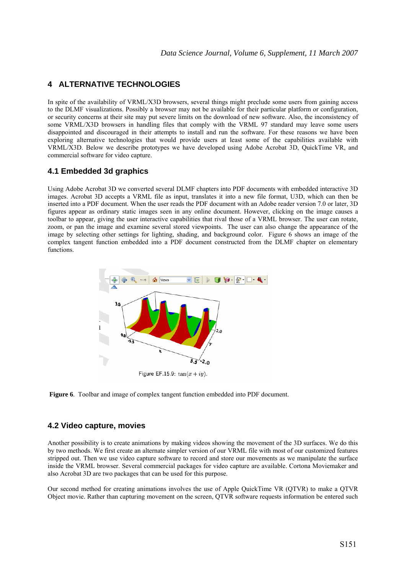## **4 ALTERNATIVE TECHNOLOGIES**

In spite of the availability of VRML/X3D browsers, several things might preclude some users from gaining access to the DLMF visualizations. Possibly a browser may not be available for their particular platform or configuration, or security concerns at their site may put severe limits on the download of new software. Also, the inconsistency of some VRML/X3D browsers in handling files that comply with the VRML 97 standard may leave some users disappointed and discouraged in their attempts to install and run the software. For these reasons we have been exploring alternative technologies that would provide users at least some of the capabilities available with VRML/X3D. Below we describe prototypes we have developed using Adobe Acrobat 3D, QuickTime VR, and commercial software for video capture.

#### **4.1 Embedded 3d graphics**

Using Adobe Acrobat 3D we converted several DLMF chapters into PDF documents with embedded interactive 3D images. Acrobat 3D accepts a VRML file as input, translates it into a new file format, U3D, which can then be inserted into a PDF document. When the user reads the PDF document with an Adobe reader version 7.0 or later, 3D figures appear as ordinary static images seen in any online document. However, clicking on the image causes a toolbar to appear, giving the user interactive capabilities that rival those of a VRML browser. The user can rotate, zoom, or pan the image and examine several stored viewpoints. The user can also change the appearance of the image by selecting other settings for lighting, shading, and background color. Figure 6 shows an image of the complex tangent function embedded into a PDF document constructed from the DLMF chapter on elementary functions.



**Figure 6**. Toolbar and image of complex tangent function embedded into PDF document.

#### **4.2 Video capture, movies**

Another possibility is to create animations by making videos showing the movement of the 3D surfaces. We do this by two methods. We first create an alternate simpler version of our VRML file with most of our customized features stripped out. Then we use video capture software to record and store our movements as we manipulate the surface inside the VRML browser. Several commercial packages for video capture are available. Cortona Moviemaker and also Acrobat 3D are two packages that can be used for this purpose.

Our second method for creating animations involves the use of Apple QuickTime VR (QTVR) to make a QTVR Object movie. Rather than capturing movement on the screen, QTVR software requests information be entered such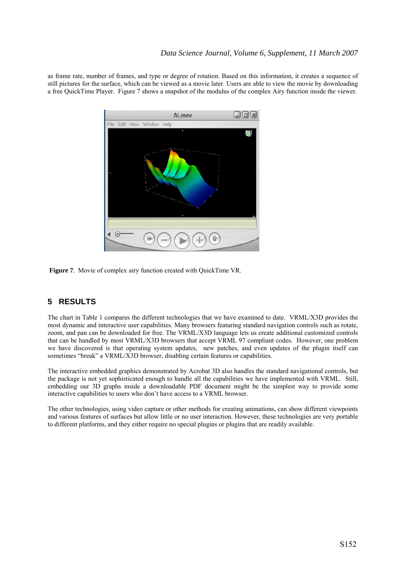## *Data Science Journal, Volume 6, Supplement, 11 March 2007*

as frame rate, number of frames, and type or degree of rotation. Based on this information, it creates a sequence of still pictures for the surface, which can be viewed as a movie later. Users are able to view the movie by downloading a free QuickTime Player. Figure 7 shows a snapshot of the modulus of the complex Airy function inside the viewer.



**Figure 7**. Movie of complex airy function created with QuickTime VR.

# **5 RESULTS**

The chart in Table 1 compares the different technologies that we have examined to date. VRML/X3D provides the most dynamic and interactive user capabilities. Many browsers featuring standard navigation controls such as rotate, zoom, and pan can be downloaded for free. The VRML/X3D language lets us create additional customized controls that can be handled by most VRML/X3D browsers that accept VRML 97 compliant codes. However, one problem we have discovered is that operating system updates, new patches, and even updates of the plugin itself can sometimes "break" a VRML/X3D browser, disabling certain features or capabilities.

The interactive embedded graphics demonstrated by Acrobat 3D also handles the standard navigational controls, but the package is not yet sophisticated enough to handle all the capabilities we have implemented with VRML. Still, embedding our 3D graphs inside a downloadable PDF document might be the simplest way to provide some interactive capabilities to users who don't have access to a VRML browser.

The other technologies, using video capture or other methods for creating animations, can show different viewpoints and various features of surfaces but allow little or no user interaction. However, these technologies are very portable to different platforms, and they either require no special plugins or plugins that are readily available.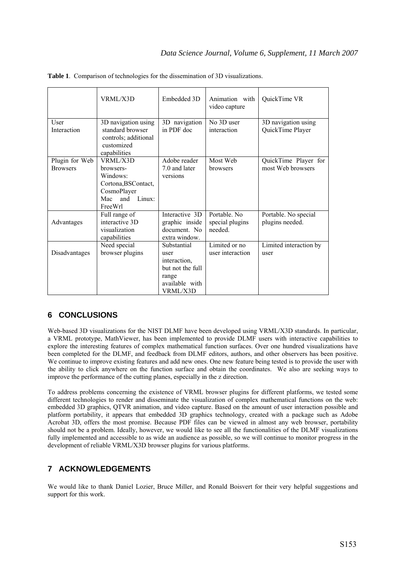|                                   | VRML/X3D                                                                                                   | Embedded 3D                                                                                    | Animation with<br>video capture            | QuickTime VR                              |
|-----------------------------------|------------------------------------------------------------------------------------------------------------|------------------------------------------------------------------------------------------------|--------------------------------------------|-------------------------------------------|
| User<br>Interaction               | 3D navigation using<br>standard browser<br>controls; additional<br>customized<br>capabilities              | 3D navigation<br>in PDF doc                                                                    | No 3D user<br>interaction                  | 3D navigation using<br>QuickTime Player   |
| Plugin for Web<br><b>Browsers</b> | VRML/X3D<br>browsers-<br>Windows:<br>Cortona, BSContact,<br>CosmoPlayer<br>Linux:<br>and<br>Mac<br>FreeWrl | Adobe reader<br>7.0 and later<br>versions                                                      | Most Web<br>browsers                       | QuickTime Player for<br>most Web browsers |
| Advantages                        | Full range of<br>interactive 3D<br>visualization<br>capabilities                                           | Interactive 3D<br>graphic inside<br>document. No<br>extra window.                              | Portable. No<br>special plugins<br>needed. | Portable. No special<br>plugins needed.   |
| Disadvantages                     | Need special<br>browser plugins                                                                            | Substantial<br>user<br>interaction,<br>but not the full<br>range<br>available with<br>VRML/X3D | Limited or no<br>user interaction          | Limited interaction by<br>user            |

**Table 1**. Comparison of technologies for the dissemination of 3D visualizations.

## **6 CONCLUSIONS**

Web-based 3D visualizations for the NIST DLMF have been developed using VRML/X3D standards. In particular, a VRML prototype, MathViewer, has been implemented to provide DLMF users with interactive capabilities to explore the interesting features of complex mathematical function surfaces. Over one hundred visualizations have been completed for the DLMF, and feedback from DLMF editors, authors, and other observers has been positive. We continue to improve existing features and add new ones. One new feature being tested is to provide the user with the ability to click anywhere on the function surface and obtain the coordinates. We also are seeking ways to improve the performance of the cutting planes, especially in the z direction.

To address problems concerning the existence of VRML browser plugins for different platforms, we tested some different technologies to render and disseminate the visualization of complex mathematical functions on the web: embedded 3D graphics, QTVR animation, and video capture. Based on the amount of user interaction possible and platform portability, it appears that embedded 3D graphics technology, created with a package such as Adobe Acrobat 3D, offers the most promise. Because PDF files can be viewed in almost any web browser, portability should not be a problem. Ideally, however, we would like to see all the functionalities of the DLMF visualizations fully implemented and accessible to as wide an audience as possible, so we will continue to monitor progress in the development of reliable VRML/X3D browser plugins for various platforms.

## **7 ACKNOWLEDGEMENTS**

We would like to thank Daniel Lozier, Bruce Miller, and Ronald Boisvert for their very helpful suggestions and support for this work.